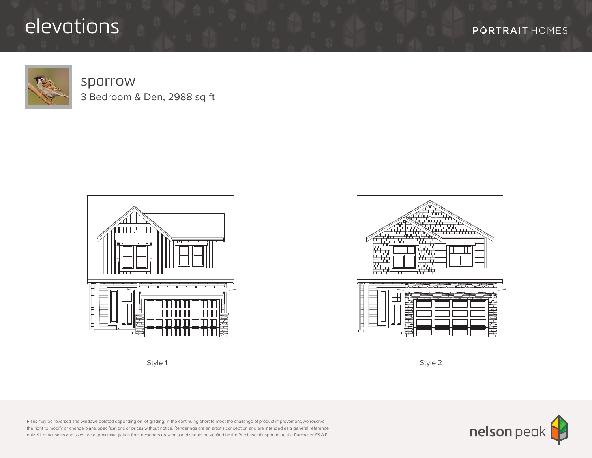## elevations

**P***F* **RTRAIT** HOMES



## sparrow 3 Bedroom & Den, 2988 sq ft







Style 1 Style 2

Plans may be reversed and windows deleted depending on lot grading. In the continuing effort to meet the challenge of product improvement, we reserve the right to modify or change plans, specifications or prices without notice. Renderings are an artist's conception and are intended as a general reference only. All dimensions and sizes are approximate (taken from designers drawings) and should be verified by the Purchaser if important to the Purchaser. E&O.E.